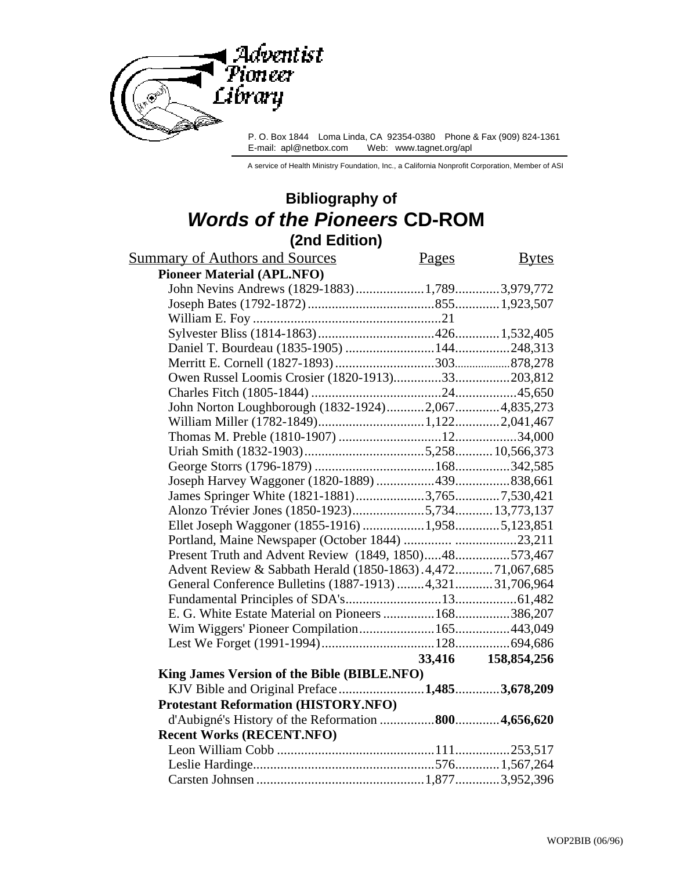

P. O. Box 1844 Loma Linda, CA 92354-0380 Phone & Fax (909) 824-1361 Web: www.tagnet.org/apl

A service of Health Ministry Foundation, Inc., a California Nonprofit Corporation, Member of ASI

# **Bibliography of Words of the Pioneers CD-ROM (2nd Edition)**

| <b>Summary of Authors and Sources</b>                       | Pages | <b>Bytes</b>       |
|-------------------------------------------------------------|-------|--------------------|
| <b>Pioneer Material (APL.NFO)</b>                           |       |                    |
| John Nevins Andrews (1829-1883)1,7893,979,772               |       |                    |
|                                                             |       |                    |
|                                                             |       |                    |
|                                                             |       |                    |
|                                                             |       |                    |
|                                                             |       |                    |
| Owen Russel Loomis Crosier (1820-1913)33203,812             |       |                    |
|                                                             |       |                    |
| John Norton Loughborough (1832-1924)2,0674,835,273          |       |                    |
|                                                             |       |                    |
|                                                             |       |                    |
|                                                             |       |                    |
|                                                             |       |                    |
| Joseph Harvey Waggoner (1820-1889) 439 838,661              |       |                    |
| James Springer White (1821-1881)3,7657,530,421              |       |                    |
| Alonzo Trévier Jones (1850-1923)5,734 13,773,137            |       |                    |
| Ellet Joseph Waggoner (1855-1916) 1,9585,123,851            |       |                    |
| Portland, Maine Newspaper (October 1844)  23,211            |       |                    |
| Present Truth and Advent Review (1849, 1850)48573,467       |       |                    |
| Advent Review & Sabbath Herald (1850-1863).4,47271,067,685  |       |                    |
| General Conference Bulletins (1887-1913)  4,321  31,706,964 |       |                    |
|                                                             |       |                    |
| E. G. White Estate Material on Pioneers 168386,207          |       |                    |
|                                                             |       |                    |
|                                                             |       |                    |
|                                                             |       | 33,416 158,854,256 |
| King James Version of the Bible (BIBLE.NFO)                 |       |                    |
| KJV Bible and Original Preface 1,4853,678,209               |       |                    |
| <b>Protestant Reformation (HISTORY.NFO)</b>                 |       |                    |
| d'Aubigné's History of the Reformation 8004,656,620         |       |                    |
| <b>Recent Works (RECENT.NFO)</b>                            |       |                    |
|                                                             |       |                    |
|                                                             |       |                    |
|                                                             |       |                    |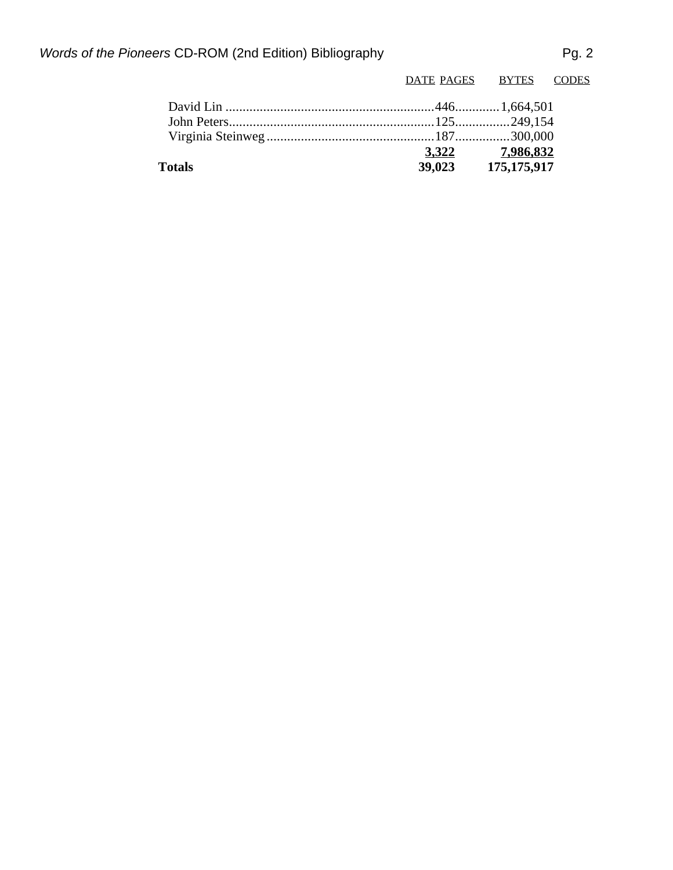| <b>Totals</b> |                        | 39,023 175,175,917 |  |
|---------------|------------------------|--------------------|--|
|               |                        | 3,322 7,986,832    |  |
|               |                        |                    |  |
|               |                        |                    |  |
|               |                        |                    |  |
|               | DATE PAGES BYTES CODES |                    |  |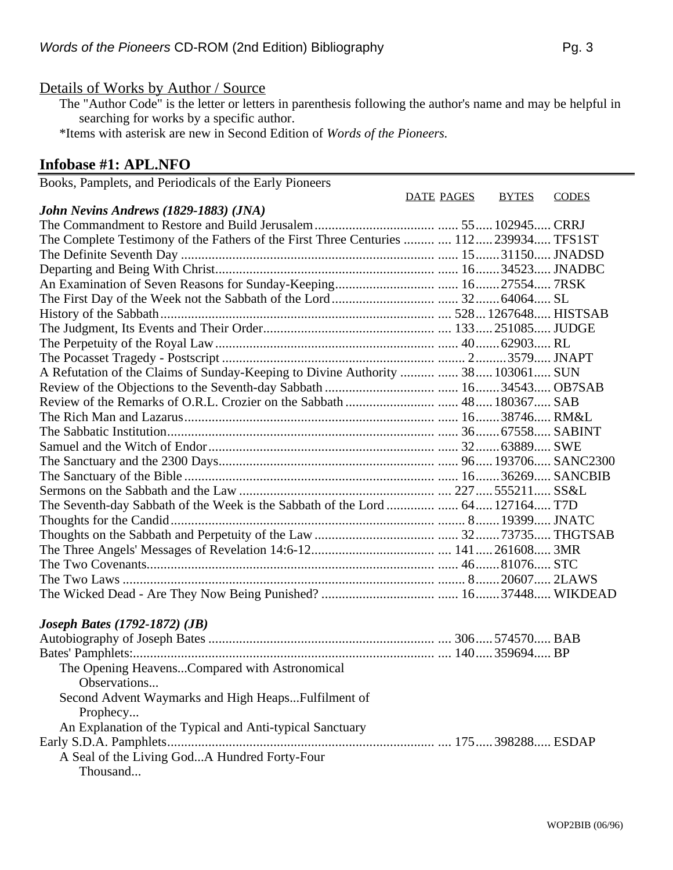# Details of Works by Author / Source

The "Author Code" is the letter or letters in parenthesis following the author's name and may be helpful in searching for works by a specific author.

\*Items with asterisk are new in Second Edition of *Words of the Pioneers.*

# **Infobase #1: APL.NFO**

Books, Pamplets, and Periodicals of the Early Pioneers

|                                                                                        | <b>DATE PAGES</b> | <b>BYTES</b> | <b>CODES</b> |
|----------------------------------------------------------------------------------------|-------------------|--------------|--------------|
| John Nevins Andrews (1829-1883) (JNA)                                                  |                   |              |              |
|                                                                                        |                   |              |              |
| The Complete Testimony of the Fathers of the First Three Centuries   112 239934 TFS1ST |                   |              |              |
|                                                                                        |                   |              |              |
|                                                                                        |                   |              |              |
|                                                                                        |                   |              |              |
|                                                                                        |                   |              |              |
|                                                                                        |                   |              |              |
|                                                                                        |                   |              |              |
|                                                                                        |                   |              |              |
|                                                                                        |                   |              |              |
| A Refutation of the Claims of Sunday-Keeping to Divine Authority   38 103061 SUN       |                   |              |              |
|                                                                                        |                   |              |              |
|                                                                                        |                   |              |              |
|                                                                                        |                   |              |              |
|                                                                                        |                   |              |              |
|                                                                                        |                   |              |              |
|                                                                                        |                   |              |              |
|                                                                                        |                   |              |              |
|                                                                                        |                   |              |              |
|                                                                                        |                   |              |              |
|                                                                                        |                   |              |              |
|                                                                                        |                   |              |              |
|                                                                                        |                   |              |              |
|                                                                                        |                   |              |              |
|                                                                                        |                   |              |              |
|                                                                                        |                   |              |              |

### *Joseph Bates (1792-1872) (JB)*

| The Opening HeavensCompared with Astronomical            |  |  |
|----------------------------------------------------------|--|--|
| Observations                                             |  |  |
| Second Advent Waymarks and High Heaps Fulfilment of      |  |  |
| Prophecy                                                 |  |  |
| An Explanation of the Typical and Anti-typical Sanctuary |  |  |
|                                                          |  |  |
| A Seal of the Living GodA Hundred Forty-Four             |  |  |
| Thousand                                                 |  |  |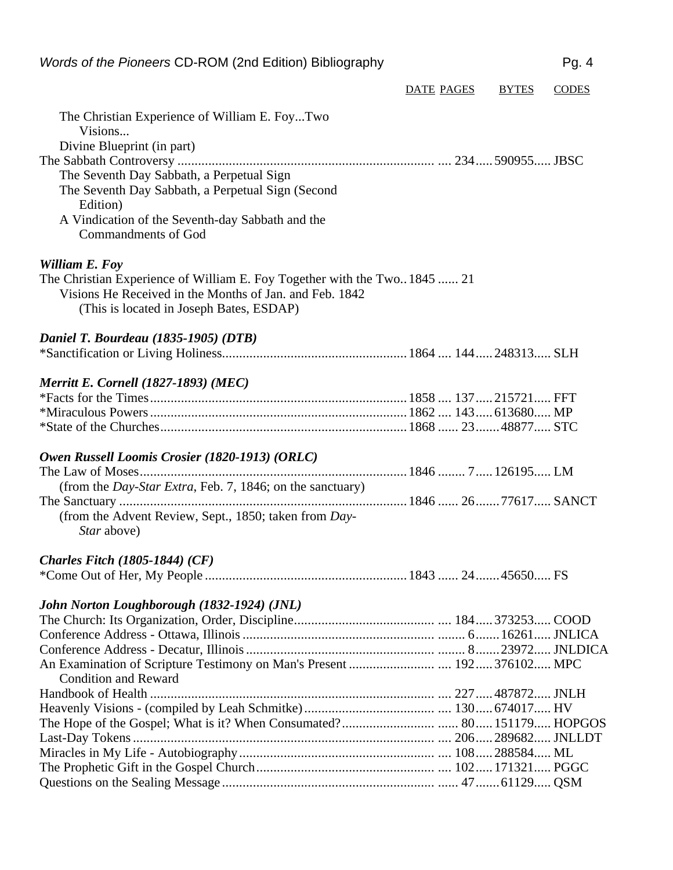|                                                                                                     | DATE PAGES | <b>BYTES</b> | <b>CODES</b> |
|-----------------------------------------------------------------------------------------------------|------------|--------------|--------------|
| The Christian Experience of William E. FoyTwo<br>Visions                                            |            |              |              |
| Divine Blueprint (in part)                                                                          |            |              |              |
|                                                                                                     |            |              |              |
| The Seventh Day Sabbath, a Perpetual Sign                                                           |            |              |              |
| The Seventh Day Sabbath, a Perpetual Sign (Second                                                   |            |              |              |
| Edition)                                                                                            |            |              |              |
| A Vindication of the Seventh-day Sabbath and the<br>Commandments of God                             |            |              |              |
| William E. Foy                                                                                      |            |              |              |
| The Christian Experience of William E. Foy Together with the Two. 1845  21                          |            |              |              |
| Visions He Received in the Months of Jan. and Feb. 1842<br>(This is located in Joseph Bates, ESDAP) |            |              |              |
| <b>Daniel T. Bourdeau (1835-1905) (DTB)</b>                                                         |            |              |              |
|                                                                                                     |            |              |              |
| <b>Merritt E. Cornell (1827-1893) (MEC)</b>                                                         |            |              |              |
|                                                                                                     |            |              |              |
|                                                                                                     |            |              |              |
|                                                                                                     |            |              |              |
| Owen Russell Loomis Crosier (1820-1913) (ORLC)                                                      |            |              |              |
|                                                                                                     |            |              |              |
| (from the <i>Day-Star Extra</i> , Feb. 7, 1846; on the sanctuary)                                   |            |              |              |
|                                                                                                     |            |              |              |
| (from the Advent Review, Sept., 1850; taken from Day-<br>Star above)                                |            |              |              |
| Charles Fitch $(1805-1844)$ (CF)                                                                    |            |              |              |
|                                                                                                     |            |              |              |
| John Norton Loughborough (1832-1924) (JNL)                                                          |            |              |              |
|                                                                                                     |            |              |              |
|                                                                                                     |            |              |              |
|                                                                                                     |            |              |              |

An Examination of Scripture Testimony on Man's Present ......................... .... 192..... 376102..... MPC

Handbook of Health ................................................................................... .... 227..... 487872..... JNLH Heavenly Visions - (compiled by Leah Schmitke)...................................... .... 130..... 674017..... HV

The Hope of the Gospel; What is it? When Consumated?........................... ...... 80..... 151179..... HOPGOS Last-Day Tokens........................................................................................ .... 206..... 289682..... JNLLDT Miracles in My Life - Autobiography......................................................... .... 108..... 288584..... ML The Prophetic Gift in the Gospel Church.................................................... .... 102..... 171321..... PGGC Questions on the Sealing Message .............................................................. ...... 47.......61129..... QSM

Condition and Reward

| ٧ |  |
|---|--|
|   |  |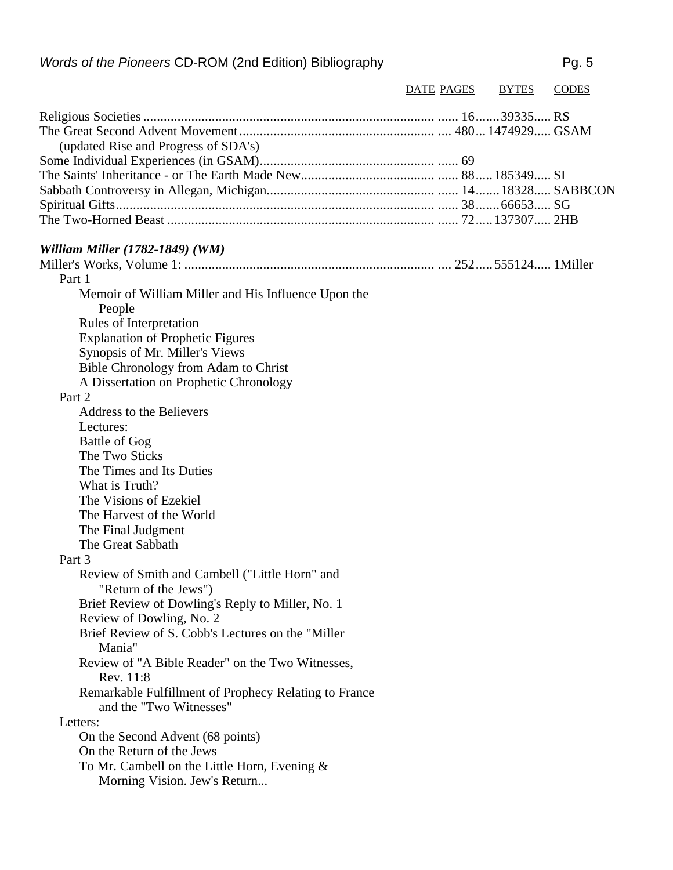|                                                       | <b>DATE PAGES</b> | <b>BYTES</b> | <b>CODES</b> |
|-------------------------------------------------------|-------------------|--------------|--------------|
|                                                       |                   |              |              |
|                                                       |                   |              |              |
| (updated Rise and Progress of SDA's)                  |                   |              |              |
|                                                       |                   |              |              |
|                                                       |                   |              |              |
|                                                       |                   |              |              |
|                                                       |                   |              |              |
|                                                       |                   |              |              |
| William Miller (1782-1849) (WM)                       |                   |              |              |
|                                                       |                   |              |              |
| Part 1                                                |                   |              |              |
| Memoir of William Miller and His Influence Upon the   |                   |              |              |
| People                                                |                   |              |              |
| Rules of Interpretation                               |                   |              |              |
| <b>Explanation of Prophetic Figures</b>               |                   |              |              |
| Synopsis of Mr. Miller's Views                        |                   |              |              |
| Bible Chronology from Adam to Christ                  |                   |              |              |
| A Dissertation on Prophetic Chronology                |                   |              |              |
| Part 2                                                |                   |              |              |
| Address to the Believers                              |                   |              |              |
| Lectures:                                             |                   |              |              |
| <b>Battle of Gog</b>                                  |                   |              |              |
| The Two Sticks                                        |                   |              |              |
| The Times and Its Duties                              |                   |              |              |
| What is Truth?                                        |                   |              |              |
| The Visions of Ezekiel                                |                   |              |              |
| The Harvest of the World                              |                   |              |              |
| The Final Judgment                                    |                   |              |              |
| The Great Sabbath                                     |                   |              |              |
| Part 3                                                |                   |              |              |
| Review of Smith and Cambell ("Little Horn" and        |                   |              |              |
| "Return of the Jews")                                 |                   |              |              |
| Brief Review of Dowling's Reply to Miller, No. 1      |                   |              |              |
| Review of Dowling, No. 2                              |                   |              |              |
| Brief Review of S. Cobb's Lectures on the "Miller"    |                   |              |              |
| Mania"                                                |                   |              |              |
| Review of "A Bible Reader" on the Two Witnesses,      |                   |              |              |
| Rev. 11:8                                             |                   |              |              |
| Remarkable Fulfillment of Prophecy Relating to France |                   |              |              |
| and the "Two Witnesses"                               |                   |              |              |
| Letters:                                              |                   |              |              |
| On the Second Advent (68 points)                      |                   |              |              |
| On the Return of the Jews                             |                   |              |              |
| To Mr. Cambell on the Little Horn, Evening $\&$       |                   |              |              |
| Morning Vision. Jew's Return                          |                   |              |              |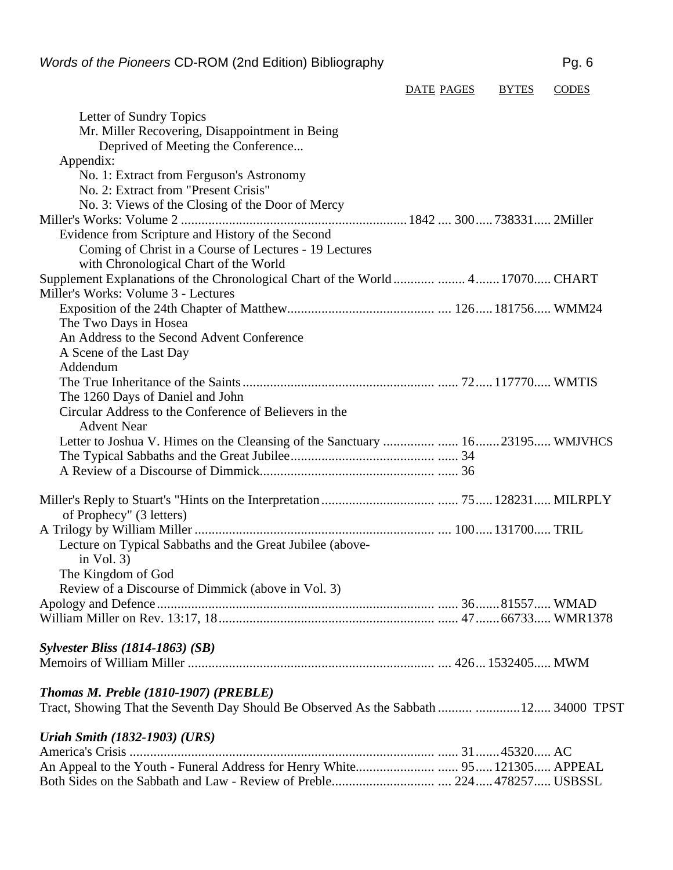Words of the Pioneers CD-ROM (2nd Edition) Bibliography Property Reg. 6

DATE PAGES BYTES CODES Letter of Sundry Topics Mr. Miller Recovering, Disappointment in Being Deprived of Meeting the Conference... Appendix: No. 1: Extract from Ferguson's Astronomy No. 2: Extract from "Present Crisis" No. 3: Views of the Closing of the Door of Mercy Miller's Works: Volume 2 .................................................................. 1842 .... 300..... 738331..... 2Miller Evidence from Scripture and History of the Second Coming of Christ in a Course of Lectures - 19 Lectures with Chronological Chart of the World Supplement Explanations of the Chronological Chart of the World ............ ........ 4....... 17070..... CHART Miller's Works: Volume 3 - Lectures Exposition of the 24th Chapter of Matthew........................................... .... 126..... 181756..... WMM24 The Two Days in Hosea An Address to the Second Advent Conference A Scene of the Last Day Addendum The True Inheritance of the Saints........................................................ ...... 72..... 117770..... WMTIS The 1260 Days of Daniel and John Circular Address to the Conference of Believers in the Advent Near Letter to Joshua V. Himes on the Cleansing of the Sanctuary ............... ...... 16.......23195..... WMJVHCS The Typical Sabbaths and the Great Jubilee.......................................... ...... 34 A Review of a Discourse of Dimmick................................................... ...... 36 Miller's Reply to Stuart's "Hints on the Interpretation ................................. ...... 75..... 128231..... MILRPLY of Prophecy" (3 letters) A Trilogy by William Miller ...................................................................... .... 100..... 131700..... TRIL Lecture on Typical Sabbaths and the Great Jubilee (abovein Vol. 3) The Kingdom of God Review of a Discourse of Dimmick (above in Vol. 3) Apology and Defence ................................................................................. ...... 36.......81557..... WMAD William Miller on Rev. 13:17, 18............................................................... ...... 47.......66733..... WMR1378 *Sylvester Bliss (1814-1863) (SB)* Memoirs of William Miller ........................................................................ .... 426... 1532405..... MWM *Thomas M. Preble (1810-1907) (PREBLE)* Tract, Showing That the Seventh Day Should Be Observed As the Sabbath .......... .............12..... 34000 TPST *Uriah Smith (1832-1903) (URS)*

## America's Crisis ......................................................................................... ...... 31.......45320..... AC An Appeal to the Youth - Funeral Address for Henry White....................... ...... 95..... 121305..... APPEAL Both Sides on the Sabbath and Law - Review of Preble.............................. .... 224..... 478257..... USBSSL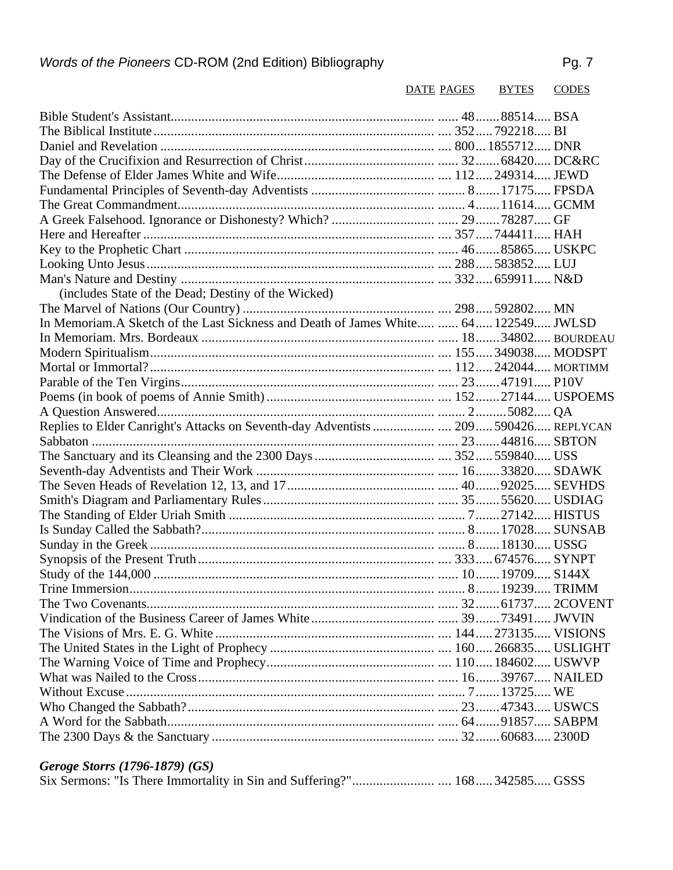| (includes State of the Dead; Destiny of the Wicked)                                 |  |
|-------------------------------------------------------------------------------------|--|
|                                                                                     |  |
| In Memoriam.A Sketch of the Last Sickness and Death of James White  64 122549 JWLSD |  |
|                                                                                     |  |
|                                                                                     |  |
|                                                                                     |  |
|                                                                                     |  |
|                                                                                     |  |
|                                                                                     |  |
| Replies to Elder Canright's Attacks on Seventh-day Adventists  209 590426 REPLYCAN  |  |
|                                                                                     |  |
|                                                                                     |  |
|                                                                                     |  |
|                                                                                     |  |
|                                                                                     |  |
|                                                                                     |  |
|                                                                                     |  |
|                                                                                     |  |
|                                                                                     |  |
|                                                                                     |  |
|                                                                                     |  |
|                                                                                     |  |
|                                                                                     |  |
|                                                                                     |  |
|                                                                                     |  |
|                                                                                     |  |
|                                                                                     |  |
|                                                                                     |  |
|                                                                                     |  |
|                                                                                     |  |
|                                                                                     |  |

# *Geroge Storrs (1796-1879) (GS)*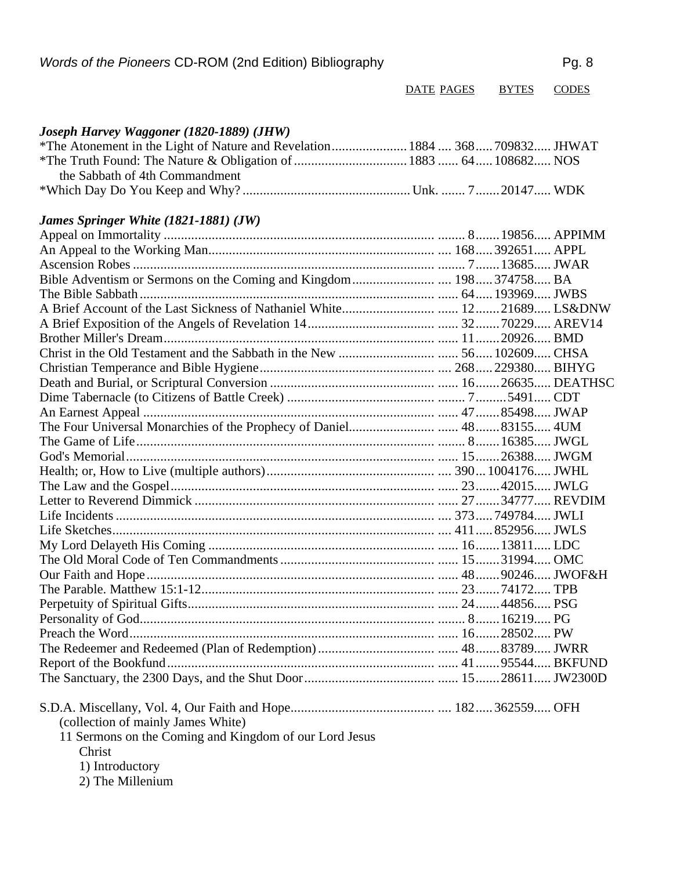Words of the Pioneers CD-ROM (2nd Edition) Bibliography Property Reg. 8

*Joseph Harvey Waggoner (1820-1889) (JHW)*

DATE PAGES BYTES CODES

## the Sabbath of 4th Commandment \*Which Day Do You Keep and Why? ................................................. Unk. ....... 7.......20147..... WDK *James Springer White (1821-1881) (JW)* Appeal on Immortality ............................................................................... ........ 8.......19856..... APPIMM An Appeal to the Working Man.................................................................. .... 168..... 392651..... APPL Ascension Robes ........................................................................................ ........ 7.......13685..... JWAR Bible Adventism or Sermons on the Coming and Kingdom........................ .... 198..... 374758..... BA The Bible Sabbath ...................................................................................... ...... 64..... 193969..... JWBS A Brief Account of the Last Sickness of Nathaniel White........................... ...... 12.......21689..... LS&DNW A Brief Exposition of the Angels of Revelation 14..................................... ...... 32.......70229..... AREV14 Brother Miller's Dream............................................................................... ...... 11.......20926..... BMD Christ in the Old Testament and the Sabbath in the New ............................ ...... 56..... 102609..... CHSA Christian Temperance and Bible Hygiene................................................... .... 268..... 229380..... BIHYG Death and Burial, or Scriptural Conversion ................................................ ...... 16.......26635..... DEATHSC Dime Tabernacle (to Citizens of Battle Creek) ........................................... ........ 7.........5491..... CDT An Earnest Appeal ..................................................................................... ...... 47.......85498..... JWAP The Four Universal Monarchies of the Prophecy of Daniel......................... ...... 48.......83155..... 4UM The Game of Life....................................................................................... ........ 8.......16385..... JWGL God's Memorial.......................................................................................... ...... 15.......26388..... JWGM Health; or, How to Live (multiple authors)................................................. .... 390... 1004176..... JWHL The Law and the Gospel............................................................................. ...... 23.......42015..... JWLG Letter to Reverend Dimmick ...................................................................... ...... 27.......34777..... REVDIM Life Incidents............................................................................................. .... 373..... 749784..... JWLI Life Sketches.............................................................................................. .... 411..... 852956..... JWLS My Lord Delayeth His Coming .................................................................. ...... 16.......13811..... LDC The Old Moral Code of Ten Commandments............................................. ...... 15.......31994..... OMC Our Faith and Hope .................................................................................... ...... 48.......90246..... JWOF&H The Parable. Matthew 15:1-12.................................................................... ...... 23.......74172..... TPB Perpetuity of Spiritual Gifts........................................................................ ...... 24.......44856..... PSG Personality of God...................................................................................... ........ 8.......16219..... PG Preach the Word......................................................................................... ...... 16.......28502..... PW The Redeemer and Redeemed (Plan of Redemption).................................. ...... 48.......83789..... JWRR Report of the Bookfund.............................................................................. ...... 41.......95544..... BKFUND The Sanctuary, the 2300 Days, and the Shut Door...................................... ...... 15.......28611..... JW2300D S.D.A. Miscellany, Vol. 4, Our Faith and Hope.......................................... .... 182..... 362559..... OFH (collection of mainly James White) 11 Sermons on the Coming and Kingdom of our Lord Jesus Christ 1) Introductory 2) The Millenium

\*The Atonement in the Light of Nature and Revelation...................... 1884 .... 368..... 709832..... JHWAT \*The Truth Found: The Nature & Obligation of................................. 1883 ...... 64..... 108682..... NOS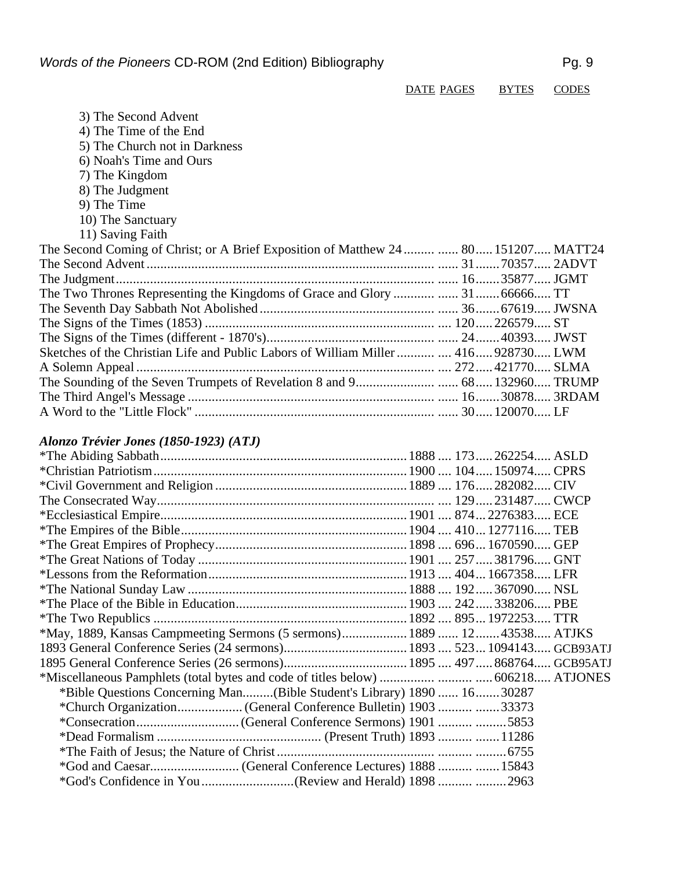|  | The Second Coming of Christ; or A Brief Exposition of Matthew 24   80 151207 MATT24<br>The Two Thrones Representing the Kingdoms of Grace and Glory   31  66666 TT<br>Sketches of the Christian Life and Public Labors of William Miller   416 928730 LWM |
|--|-----------------------------------------------------------------------------------------------------------------------------------------------------------------------------------------------------------------------------------------------------------|

## *Alonzo Trévier Jones (1850-1923) (ATJ)*

| *May, 1889, Kansas Campmeeting Sermons (5 sermons) 1889  12 43538 ATJKS |  |
|-------------------------------------------------------------------------|--|
|                                                                         |  |
|                                                                         |  |
|                                                                         |  |
| *Bible Questions Concerning Man(Bible Student's Library) 1890  1630287  |  |
|                                                                         |  |
|                                                                         |  |
|                                                                         |  |
|                                                                         |  |
|                                                                         |  |
|                                                                         |  |

DATE PAGES BYTES CODES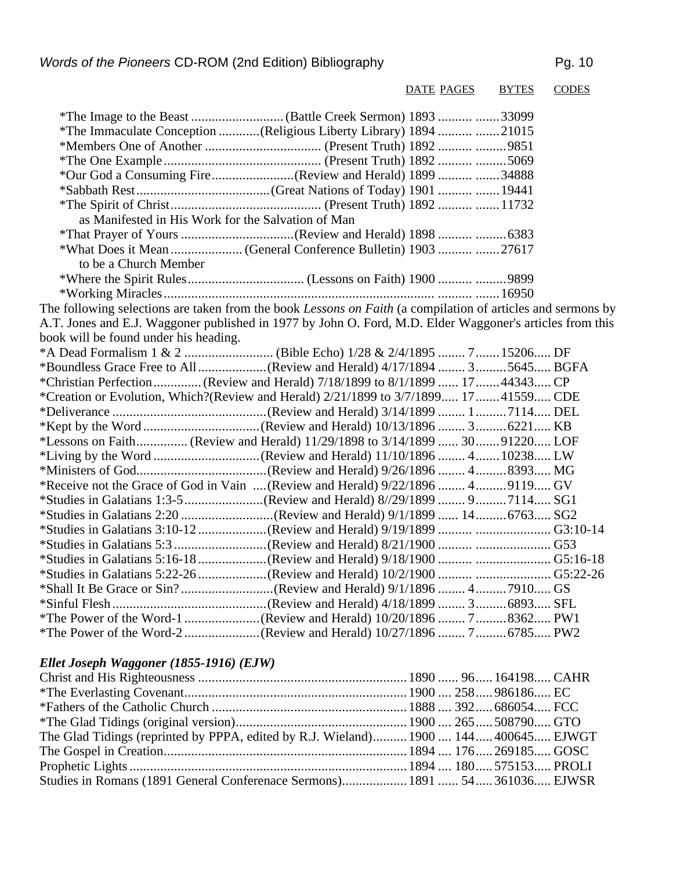|                                                    | *The Immaculate Conception (Religious Liberty Library) 1894  21015                                          |  |
|----------------------------------------------------|-------------------------------------------------------------------------------------------------------------|--|
|                                                    |                                                                                                             |  |
|                                                    |                                                                                                             |  |
|                                                    |                                                                                                             |  |
|                                                    |                                                                                                             |  |
|                                                    |                                                                                                             |  |
| as Manifested in His Work for the Salvation of Man |                                                                                                             |  |
|                                                    |                                                                                                             |  |
|                                                    |                                                                                                             |  |
| to be a Church Member                              |                                                                                                             |  |
|                                                    |                                                                                                             |  |
|                                                    |                                                                                                             |  |
|                                                    | The following selections are taken from the book Lessons on Faith (a compilation of articles and sermons by |  |
|                                                    | A.T. Jones and E.J. Waggoner published in 1977 by John O. Ford, M.D. Elder Waggoner's articles from this    |  |
| book will be found under his heading.              |                                                                                                             |  |
|                                                    |                                                                                                             |  |
|                                                    |                                                                                                             |  |
|                                                    | *Christian Perfection  (Review and Herald) 7/18/1899 to 8/1/1899  17  44343 CP                              |  |
|                                                    | *Creation or Evolution, Which?(Review and Herald) 2/21/1899 to 3/7/1899 17 41559 CDE                        |  |
|                                                    |                                                                                                             |  |
|                                                    |                                                                                                             |  |
|                                                    | *Lessons on Faith (Review and Herald) 11/29/1898 to 3/14/1899  30 91220 LOF                                 |  |
|                                                    |                                                                                                             |  |
|                                                    |                                                                                                             |  |
|                                                    | *Receive not the Grace of God in Vain  (Review and Herald) 9/22/1896  4 9119 GV                             |  |
|                                                    |                                                                                                             |  |
|                                                    |                                                                                                             |  |
|                                                    |                                                                                                             |  |
|                                                    |                                                                                                             |  |
|                                                    |                                                                                                             |  |
|                                                    |                                                                                                             |  |
|                                                    |                                                                                                             |  |
|                                                    |                                                                                                             |  |
|                                                    |                                                                                                             |  |
|                                                    |                                                                                                             |  |

# *Ellet Joseph Waggoner (1855-1916) (EJW)*

| The Glad Tidings (reprinted by PPPA, edited by R.J. Wieland) 1900  144 400645 EJWGT |  |  |
|-------------------------------------------------------------------------------------|--|--|
|                                                                                     |  |  |
|                                                                                     |  |  |
| Studies in Romans (1891 General Conferenace Sermons) 1891  54 361036 EJWSR          |  |  |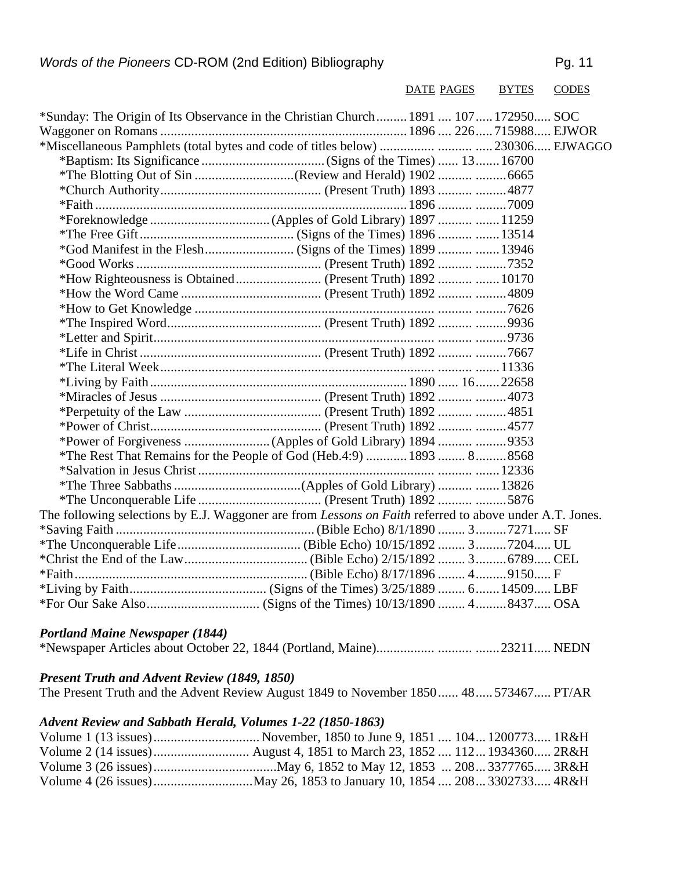| *Sunday: The Origin of Its Observance in the Christian Church 1891  107 172950 SOC                      |  |  |  |
|---------------------------------------------------------------------------------------------------------|--|--|--|
|                                                                                                         |  |  |  |
|                                                                                                         |  |  |  |
|                                                                                                         |  |  |  |
|                                                                                                         |  |  |  |
|                                                                                                         |  |  |  |
|                                                                                                         |  |  |  |
|                                                                                                         |  |  |  |
|                                                                                                         |  |  |  |
|                                                                                                         |  |  |  |
|                                                                                                         |  |  |  |
|                                                                                                         |  |  |  |
|                                                                                                         |  |  |  |
|                                                                                                         |  |  |  |
|                                                                                                         |  |  |  |
|                                                                                                         |  |  |  |
|                                                                                                         |  |  |  |
|                                                                                                         |  |  |  |
|                                                                                                         |  |  |  |
|                                                                                                         |  |  |  |
|                                                                                                         |  |  |  |
|                                                                                                         |  |  |  |
|                                                                                                         |  |  |  |
| *The Rest That Remains for the People of God (Heb.4:9)  1893  8 8568                                    |  |  |  |
|                                                                                                         |  |  |  |
|                                                                                                         |  |  |  |
|                                                                                                         |  |  |  |
| The following selections by E.J. Waggoner are from Lessons on Faith referred to above under A.T. Jones. |  |  |  |
|                                                                                                         |  |  |  |
|                                                                                                         |  |  |  |
|                                                                                                         |  |  |  |
|                                                                                                         |  |  |  |
|                                                                                                         |  |  |  |
|                                                                                                         |  |  |  |

#### *Portland Maine Newspaper (1844)*

\*Newspaper Articles about October 22, 1844 (Portland, Maine)................. .......... .......23211..... NEDN

## *Present Truth and Advent Review (1849, 1850)*

The Present Truth and the Advent Review August 1849 to November 1850...... 48..... 573467..... PT/AR

## *Advent Review and Sabbath Herald, Volumes 1-22 (1850-1863)*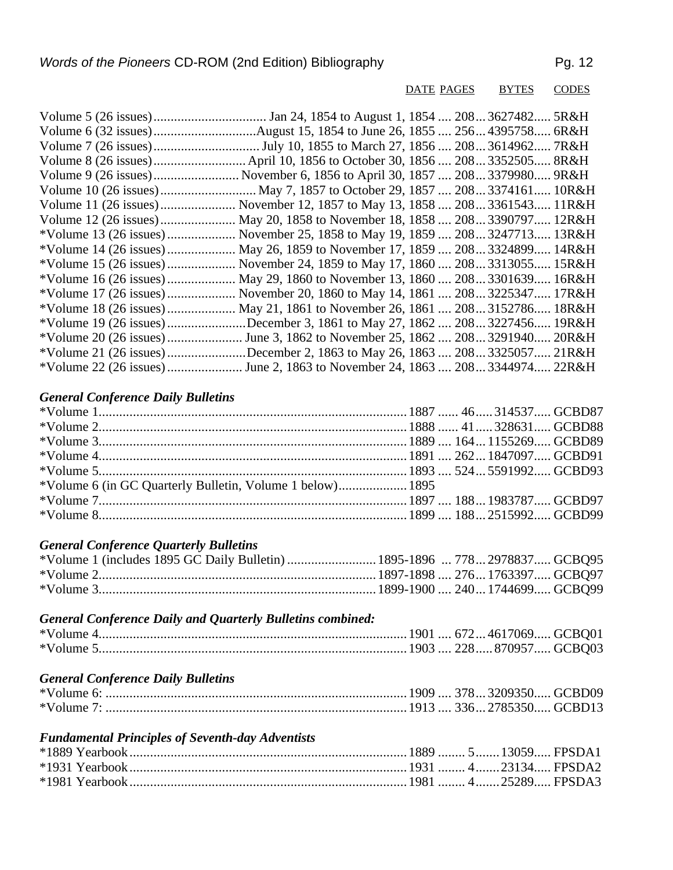Words of the Pioneers CD-ROM (2nd Edition) Bibliography **Pg. 12** Pg. 12

DATE PAGES BYTES CODES

| Volume 11 (26 issues) November 12, 1857 to May 13, 1858  2083361543 11R&H    |  |
|------------------------------------------------------------------------------|--|
| Volume 12 (26 issues) May 20, 1858 to November 18, 1858  208 3390797 12R&H   |  |
| *Volume 13 (26 issues)  November 25, 1858 to May 19, 1859  2083247713 13R&H  |  |
| *Volume 14 (26 issues)  May 26, 1859 to November 17, 1859  208 3324899 14R&H |  |
| November 24, 1859 to May 17, 1860  208  3313055  15R&H                       |  |
| May 29, 1860 to November 13, 1860  208 3301639 16R&H                         |  |
| November 20, 1860 to May 14, 1861  208 3225347 17R&H                         |  |
| May 21, 1861 to November 26, 1861  208 3152786 18R&H                         |  |
| *Volume 19 (26 issues)December 3, 1861 to May 27, 1862  208 3227456 19R&H    |  |
|                                                                              |  |
| *Volume 21 (26 issues)December 2, 1863 to May 26, 1863  2083325057 21R&H     |  |
|                                                                              |  |

# *General Conference Daily Bulletins*

| *Volume 6 (in GC Quarterly Bulletin, Volume 1 below) 1895 |  |  |
|-----------------------------------------------------------|--|--|
|                                                           |  |  |
|                                                           |  |  |
|                                                           |  |  |

# *General Conference Quarterly Bulletins*

| *Volume 1 (includes 1895 GC Daily Bulletin)  1895-1896  778 2978837 GCBQ95 |  |  |
|----------------------------------------------------------------------------|--|--|
|                                                                            |  |  |
|                                                                            |  |  |

# *General Conference Daily and Quarterly Bulletins combined:*

# *General Conference Daily Bulletins*

| $*$ Volume 7: |  |  |
|---------------|--|--|

# *Fundamental Principles of Seventh-day Adventists*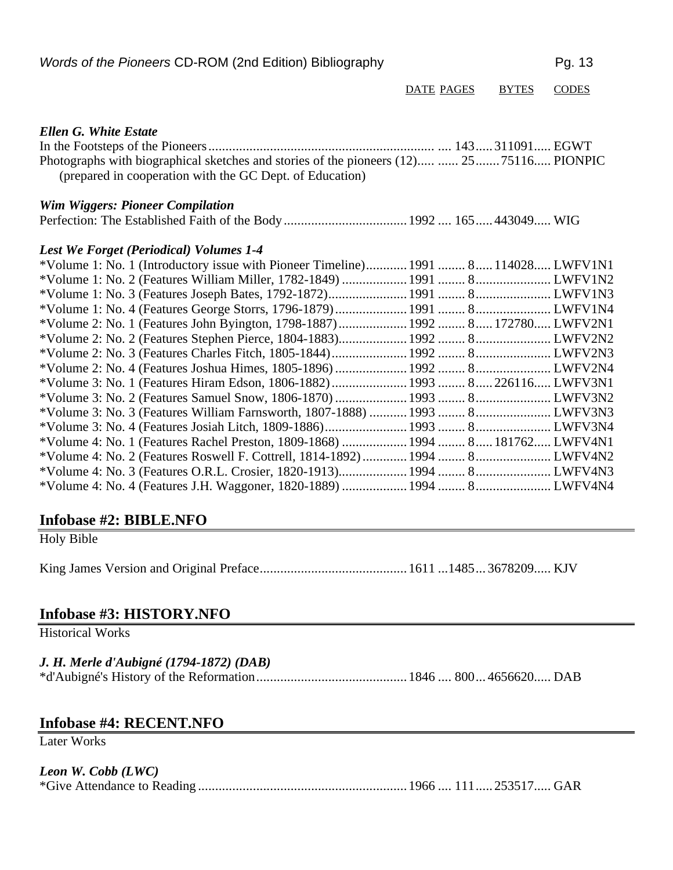#### *Ellen G. White Estate*

#### In the Footsteps of the Pioneers.................................................................. .... 143..... 311091..... EGWT Photographs with biographical sketches and stories of the pioneers (12)..... ...... 25.......75116..... PIONPIC (prepared in cooperation with the GC Dept. of Education)

### *Wim Wiggers: Pioneer Compilation*

|--|--|--|--|--|

#### *Lest We Forget (Periodical) Volumes 1-4*

| *Volume 1: No. 1 (Introductory issue with Pioneer Timeline) 1991  8 114028 LWFV1N1 |  |  |
|------------------------------------------------------------------------------------|--|--|
|                                                                                    |  |  |
|                                                                                    |  |  |
|                                                                                    |  |  |
| *Volume 2: No. 1 (Features John Byington, 1798-1887) 1992 8 172780 LWFV2N1         |  |  |
| *Volume 2: No. 2 (Features Stephen Pierce, 1804-1883) 1992  8 LWFV2N2              |  |  |
| *Volume 2: No. 3 (Features Charles Fitch, 1805-1844) 1992 8 LWFV2N3                |  |  |
|                                                                                    |  |  |
|                                                                                    |  |  |
|                                                                                    |  |  |
| *Volume 3: No. 3 (Features William Farnsworth, 1807-1888)  1993  8  LWFV3N3        |  |  |
|                                                                                    |  |  |
| *Volume 4: No. 1 (Features Rachel Preston, 1809-1868)  1994  8 181762 LWFV4N1      |  |  |
| *Volume 4: No. 2 (Features Roswell F. Cottrell, 1814-1892)  1994  8  LWFV4N2       |  |  |
|                                                                                    |  |  |
|                                                                                    |  |  |

### **Infobase #2: BIBLE.NFO**

Holy Bible

King James Version and Original Preface........................................... 1611 ...1485... 3678209..... KJV

## **Infobase #3: HISTORY.NFO**

Historical Works

#### *J. H. Merle d'Aubigné (1794-1872) (DAB)*

\*d'Aubigné's History of the Reformation............................................ 1846 .... 800... 4656620..... DAB

### **Infobase #4: RECENT.NFO**

Later Works

#### *Leon W. Cobb (LWC)*

|--|--|--|--|--|